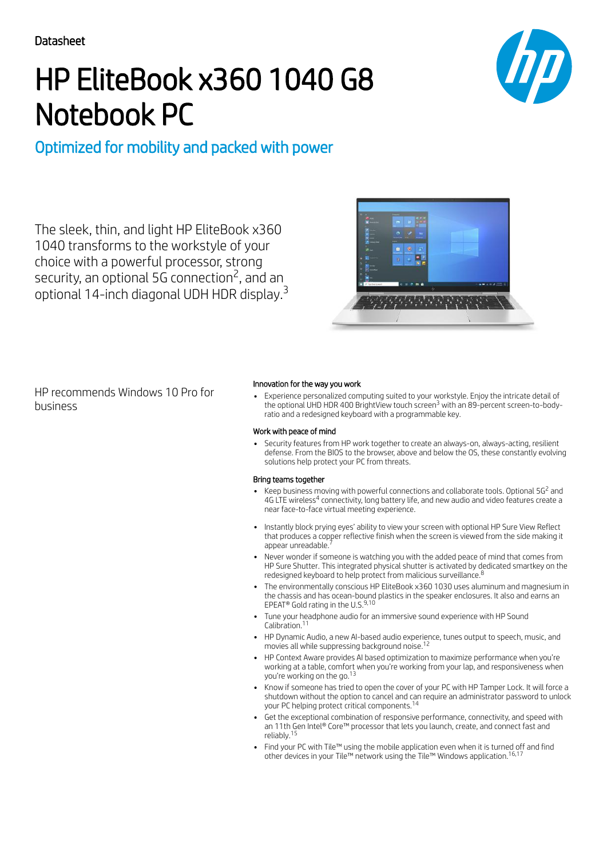# HP EliteBook x360 1040 G8 Notebook PC



# Optimized for mobility and packed with power

The sleek, thin, and light HP EliteBook x360 1040 transforms to the workstyle of your choice with a powerful processor, strong security, an optional 5G connection<sup>2</sup>, and an optional 14-inch diagonal UDH HDR display.<sup>3</sup>



HP recommends Windows 10 Pro for business

## Innovation for the way you work

Experience personalized computing suited to your workstyle. Enjoy the intricate detail of the optional UHD HDR 400 BrightView touch screen<sup>3</sup> with an 89-percent screen-to-bodyratio and a redesigned keyboard with a programmable key.

#### Work with peace of mind

Security features from HP work together to create an always-on, always-acting, resilient defense. From the BIOS to the browser, above and below the OS, these constantly evolving solutions help protect your PC from threats.

### Bring teams together

- Keep business moving with powerful connections and collaborate tools. Optional 5G<sup>2</sup> and 4G LTE wireless<sup>4</sup> connectivity, long battery life, and new audio and video features create a near face-to-face virtual meeting experience.
- Instantly block prying eyes' ability to view your screen with optional HP Sure View Reflect that produces a copper reflective finish when the screen is viewed from the side making it<br>appear unreadable <sup>7</sup> appear unreadable.
- Never wonder if someone is watching you with the added peace of mind that comes from HP Sure Shutter. This integrated physical shutter is activated by dedicated smartkey on the redesigned keyboard to help protect from malicious surveillance.<sup>8</sup>
- The environmentally conscious HP EliteBook x360 1030 uses aluminum and magnesium in the chassis and has ocean-bound plastics in the speaker enclosures. It also and earns an EPEAT® Gold rating in the U.S.<sup>9,10</sup>
- Tune your headphone audio for an immersive sound experience with HP Sound Calibration. 11
- HP Dynamic Audio, a new AI-based audio experience, tunes output to speech, music, and<br>movies all while suppressing background poise <sup>12</sup> movies all while suppressing background noise.
- HP Context Aware provides AI based optimization to maximize performance when you're working at a table, comfort when you're working from your lap, and responsiveness when you're working on the go.<sup>13</sup>
- Know if someone has tried to open the cover of your PC with HP Tamper Lock. It will force a shutdown without the option to cancel and can require an administrator password to unlock your PC helping protect critical components. 14
- Get the exceptional combination of responsive performance, connectivity, and speed with an 11th Gen Intel® Core™ processor that lets you launch, create, and connect fast and reliably. 15
- Find your PC with Tile™ using the mobile application even when it is turned off and find other devices in your Tile™ network using the Tile™ Windows application. 16,17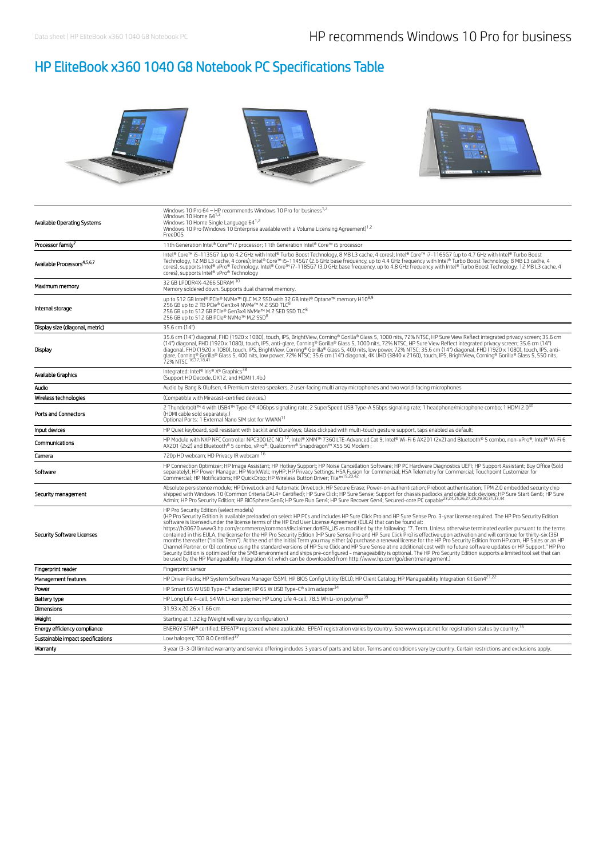# HP EliteBook x360 1040 G8 Notebook PC Specifications Table



| Available Operating Systems             | Windows 10 Pro 64 - HP recommends Windows 10 Pro for business <sup>1,2</sup><br>Windows 10 Home 64 <sup>1,2</sup><br>Windows 10 Home Single Language 64 <sup>1,2</sup><br>Windows 10 Pro (Windows 10 Enterprise available with a Volume Licensing Agreement) <sup>1,2</sup><br>FreeDOS                                                                                                                                                                                                                                                                                                                                                                                                                                                                                                                                                                                                                                                                                                                                                                                                                                                                                                                                                                                                                                                                                       |
|-----------------------------------------|------------------------------------------------------------------------------------------------------------------------------------------------------------------------------------------------------------------------------------------------------------------------------------------------------------------------------------------------------------------------------------------------------------------------------------------------------------------------------------------------------------------------------------------------------------------------------------------------------------------------------------------------------------------------------------------------------------------------------------------------------------------------------------------------------------------------------------------------------------------------------------------------------------------------------------------------------------------------------------------------------------------------------------------------------------------------------------------------------------------------------------------------------------------------------------------------------------------------------------------------------------------------------------------------------------------------------------------------------------------------------|
| Processor family <sup>7</sup>           | 11th Generation Intel® Core™ i7 processor; 11th Generation Intel® Core™ i5 processor                                                                                                                                                                                                                                                                                                                                                                                                                                                                                                                                                                                                                                                                                                                                                                                                                                                                                                                                                                                                                                                                                                                                                                                                                                                                                         |
| Available Processors <sup>4,5,6,7</sup> | Intel® Core™ i5-1135G7 (up to 4.2 GHz with Intel® Turbo Boost Technology, 8 MB L3 cache, 4 cores); Intel® Core™ i7-1165G7 (up to 4.7 GHz with Intel® Turbo Boost<br>Technology, 12 MB L3 cache, 4 cores); Intel® Core™ i5-1145G7 (2.6 GHz base frequency, up to 4.4 GHz frequency with Intel® Turbo Boost Technology, 8 MB L3 cache, 4<br>cores), supports Intel® vPro® Technology; Intel® Core™ i7-1185G7 (3.0 GHz base frequency, up to 4.8 GHz frequency with Intel® Turbo Boost Technology, 12 MB L3 cache, 4<br>cores), supports Intel® vPro® Technology                                                                                                                                                                                                                                                                                                                                                                                                                                                                                                                                                                                                                                                                                                                                                                                                                |
| Maximum memory                          | 32 GB LPDDR4X-4266 SDRAM 10<br>Memory soldered down. Supports dual channel memory.                                                                                                                                                                                                                                                                                                                                                                                                                                                                                                                                                                                                                                                                                                                                                                                                                                                                                                                                                                                                                                                                                                                                                                                                                                                                                           |
| Internal storage                        | up to 512 GB Intel® PCIe® NVMe™ QLC M.2 SSD with 32 GB Intel® Optane™ memory H10 <sup>8,9</sup><br>256 GB up to 2 TB PCIe® Gen3x4 NVMe™ M.2 SSD TLC <sup>8</sup><br>256 GB up to 512 GB PCIe® Gen3x4 NVMe™ M.2 SED SSD TLC <sup>8</sup><br>256 GB up to 512 GB PCIe® NVMe™ M.2 SSD <sup>8</sup>                                                                                                                                                                                                                                                                                                                                                                                                                                                                                                                                                                                                                                                                                                                                                                                                                                                                                                                                                                                                                                                                              |
| Display size (diagonal, metric)         | 35.6 cm (14")                                                                                                                                                                                                                                                                                                                                                                                                                                                                                                                                                                                                                                                                                                                                                                                                                                                                                                                                                                                                                                                                                                                                                                                                                                                                                                                                                                |
| Display                                 | 35.6 cm (14") diagonal, FHD (1920 x 1080), touch, IPS, BrightView, Corning® Gorilla® Glass 5, 1000 nits, 72% NTSC, HP Sure View Reflect integrated privacy screen; 35.6 cm<br>(14") diagonal, FHD (1920 x 1080), touch, IPS, anti-glare, Corning® Gorilla® Glass 5, 1000 nits, 72% NTSC, HP Sure View Reflect integrated privacy screen; 35.6 cm (14")<br>diagonal, FHD (1920 x 1080), touch, IPS, BrightView, Corning® Gorilla® Glass 5, 400 nits, low power, 72% NTSC; 35.6 cm (14") diagonal, FHD (1920 x 1080), touch, IPS, anti-<br>glare, Corning® Gorilla® Glass 5, 400 nits, low power, 72% NTSC; 35.6 cm (14") diagonal, 4K UHD (3840 x 2160), touch, IPS, BrightWew, Corning® Gorilla® Glass 5, 550 nits,                                                                                                                                                                                                                                                                                                                                                                                                                                                                                                                                                                                                                                                          |
| Available Graphics                      | Integrated: Intel® Iris® Xe Graphics <sup>38</sup><br>(Support HD Decode, DX12, and HDMI 1.4b.)                                                                                                                                                                                                                                                                                                                                                                                                                                                                                                                                                                                                                                                                                                                                                                                                                                                                                                                                                                                                                                                                                                                                                                                                                                                                              |
| Audio                                   | Audio by Bang & Olufsen, 4 Premium stereo speakers, 2 user-facing multi array microphones and two world-facing microphones                                                                                                                                                                                                                                                                                                                                                                                                                                                                                                                                                                                                                                                                                                                                                                                                                                                                                                                                                                                                                                                                                                                                                                                                                                                   |
| Wireless technologies                   | (Compatible with Miracast-certified devices.)                                                                                                                                                                                                                                                                                                                                                                                                                                                                                                                                                                                                                                                                                                                                                                                                                                                                                                                                                                                                                                                                                                                                                                                                                                                                                                                                |
| Ports and Connectors                    | 2 Thunderbolt™ 4 with USB4™ Type-C® 40Gbps signaling rate; 2 SuperSpeed USB Type-A 5Gbps signaling rate; 1 headphone/microphone combo; 1 HDMI 2.0 <sup>40</sup><br>(HDMI cable sold separately.)<br>Optional Ports: 1 External Nano SIM slot for WWAN <sup>11</sup>                                                                                                                                                                                                                                                                                                                                                                                                                                                                                                                                                                                                                                                                                                                                                                                                                                                                                                                                                                                                                                                                                                          |
| Input devices                           | HP Quiet keyboard, spill resistant with backlit and DuraKeys; Glass clickpad with multi-touch gesture support, taps enabled as default;                                                                                                                                                                                                                                                                                                                                                                                                                                                                                                                                                                                                                                                                                                                                                                                                                                                                                                                                                                                                                                                                                                                                                                                                                                      |
| Communications                          | HP Module with NXP NFC Controller NPC300 I2C NCl <sup>12</sup> ; Intel® XMM™ 7360 LTE-Advanced Cat 9; Intel® Wi-Fi 6 AX201 (2x2) and Bluetooth® 5 combo, non-vPro®; Intel® Wi-Fi 6<br>AX201 (2x2) and Bluetooth® 5 combo, vPro®; Qualcomm® Snapdragon™ X55 5G Modem;                                                                                                                                                                                                                                                                                                                                                                                                                                                                                                                                                                                                                                                                                                                                                                                                                                                                                                                                                                                                                                                                                                         |
| Camera                                  | 720p HD webcam; HD Privacy IR webcam 16                                                                                                                                                                                                                                                                                                                                                                                                                                                                                                                                                                                                                                                                                                                                                                                                                                                                                                                                                                                                                                                                                                                                                                                                                                                                                                                                      |
| Software                                | HP Connection Optimizer; HP Image Assistant; HP Hotkey Support; HP Noise Cancellation Software; HP PC Hardware Diagnostics UEFI; HP Support Assistant; Buy Office (Sold<br>separately); HP Power Manager; HP WorkWell; myHP; HP Privacy Settings; HSA Fusion for Commercial; HSA Telemetry for Commercial; Touchpoint Customizer for<br>Commercial; HP Notifications; HP QuickDrop; HP Wireless Button Driver; Tile™19,20,4                                                                                                                                                                                                                                                                                                                                                                                                                                                                                                                                                                                                                                                                                                                                                                                                                                                                                                                                                  |
| Security management                     | Absolute persistence module; HP DriveLock and Automatic DriveLock; HP Secure Erase; Power-on authentication; Preboot authentication; TPM 2.0 embedded security chip<br>shipped with Windows 10 (Common Criteria EAL4+ Certified); HP Sure Click; HP Sure Sense; Support for chassis padlocks and cable lock devices; HP Sure Start Gen6; HP Sure Start Gen6; HP Sure Start Gen6; HP Sure Start Gen6;                                                                                                                                                                                                                                                                                                                                                                                                                                                                                                                                                                                                                                                                                                                                                                                                                                                                                                                                                                         |
| <b>Security Software Licenses</b>       | HP Pro Security Edition (select models)<br>(HP Pro Security Edition is available preloaded on select HP PCs and includes HP Sure Click Pro and HP Sure Sense Pro. 3-year license required. The HP Pro Security Edition<br>software is licensed under the license terms of the HP End User License Agreement (EULA) that can be found at:<br>https://h30670.www3.hp.com/ecommerce/common/disclaimer.do#EN_US as modified by the following: "7. Term. Unless otherwise terminated earlier pursuant to the terms<br>contained in this EULA, the license for the HP Pro Security Edition (HP Sure Sense Pro and HP Sure Click Pro) is effective upon activation and will continue for thirty-six (36)<br>months thereafter ("Initial Term"). At the end of the Initial Term you may either (a) purchase a renewal license for the HP Pro Security Edition from HP.com, HP Sales or an HP<br>Channel Partner, or (b) continue using the standard versions of HP Sure Click and HP Sure Sense at no additional cost with no future software updates or HP Support." HP Pro<br>Security Edition is optimized for the SMB environment and ships pre-configured - manageability is optional. The HP Pro Security Edition supports a limited tool set that can<br>be used by the HP Manageability Integration Kit which can be downloaded from http://www.hp.com/go/clientmanagement.) |
| Fingerprint reader                      | Fingerprint sensor                                                                                                                                                                                                                                                                                                                                                                                                                                                                                                                                                                                                                                                                                                                                                                                                                                                                                                                                                                                                                                                                                                                                                                                                                                                                                                                                                           |
| Management features                     | HP Driver Packs; HP System Software Manager (SSM); HP BIOS Config Utility (BCU); HP Client Catalog; HP Manageability Integration Kit Gen4 <sup>21,22</sup>                                                                                                                                                                                                                                                                                                                                                                                                                                                                                                                                                                                                                                                                                                                                                                                                                                                                                                                                                                                                                                                                                                                                                                                                                   |
| Power                                   | HP Smart 65 W USB Type-C® adapter; HP 65 W USB Type-C® slim adapter <sup>34</sup>                                                                                                                                                                                                                                                                                                                                                                                                                                                                                                                                                                                                                                                                                                                                                                                                                                                                                                                                                                                                                                                                                                                                                                                                                                                                                            |
| Battery type                            | HP Long Life 4-cell, 54 Wh Li-ion polymer; HP Long Life 4-cell, 78.5 Wh Li-ion polymer <sup>39</sup>                                                                                                                                                                                                                                                                                                                                                                                                                                                                                                                                                                                                                                                                                                                                                                                                                                                                                                                                                                                                                                                                                                                                                                                                                                                                         |
| Dimensions                              | 31.93 x 20.26 x 1.66 cm                                                                                                                                                                                                                                                                                                                                                                                                                                                                                                                                                                                                                                                                                                                                                                                                                                                                                                                                                                                                                                                                                                                                                                                                                                                                                                                                                      |
| Weight                                  | Starting at 1.32 kg (Weight will vary by configuration.)                                                                                                                                                                                                                                                                                                                                                                                                                                                                                                                                                                                                                                                                                                                                                                                                                                                                                                                                                                                                                                                                                                                                                                                                                                                                                                                     |
| Energy efficiency compliance            | ENERGY STAR® certified; EPEAT® registered where applicable. EPEAT registration varies by country. See www.epeat.net for registration status by country. <sup>36</sup>                                                                                                                                                                                                                                                                                                                                                                                                                                                                                                                                                                                                                                                                                                                                                                                                                                                                                                                                                                                                                                                                                                                                                                                                        |
| Sustainable impact specifications       | Low halogen; TCO 8.0 Certified <sup>3</sup>                                                                                                                                                                                                                                                                                                                                                                                                                                                                                                                                                                                                                                                                                                                                                                                                                                                                                                                                                                                                                                                                                                                                                                                                                                                                                                                                  |
| Warranty                                | 3 year (3-3-0) limited warranty and service offering includes 3 years of parts and labor. Terms and conditions vary by country. Certain restrictions and exclusions apply.                                                                                                                                                                                                                                                                                                                                                                                                                                                                                                                                                                                                                                                                                                                                                                                                                                                                                                                                                                                                                                                                                                                                                                                                   |
|                                         |                                                                                                                                                                                                                                                                                                                                                                                                                                                                                                                                                                                                                                                                                                                                                                                                                                                                                                                                                                                                                                                                                                                                                                                                                                                                                                                                                                              |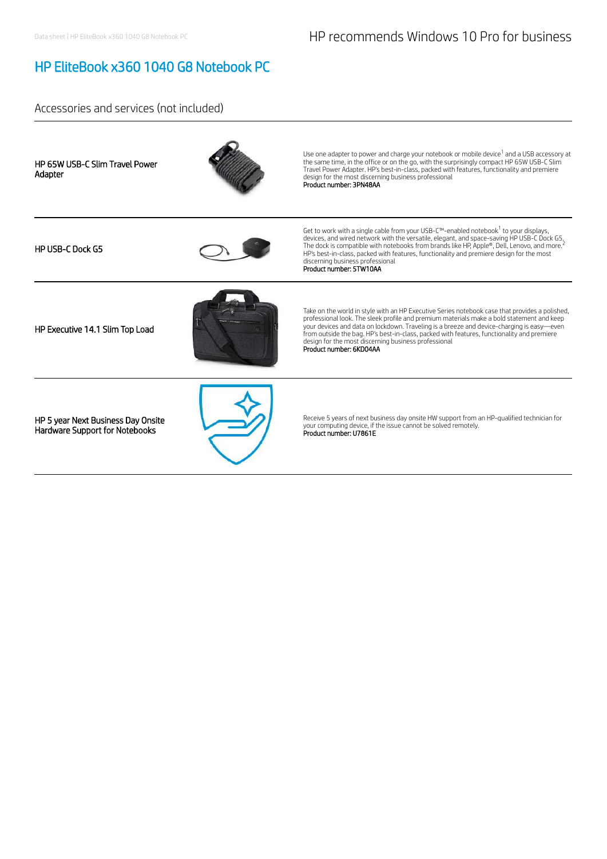# HP EliteBook x360 1040 G8 Notebook PC

## Accessories and services (not included)